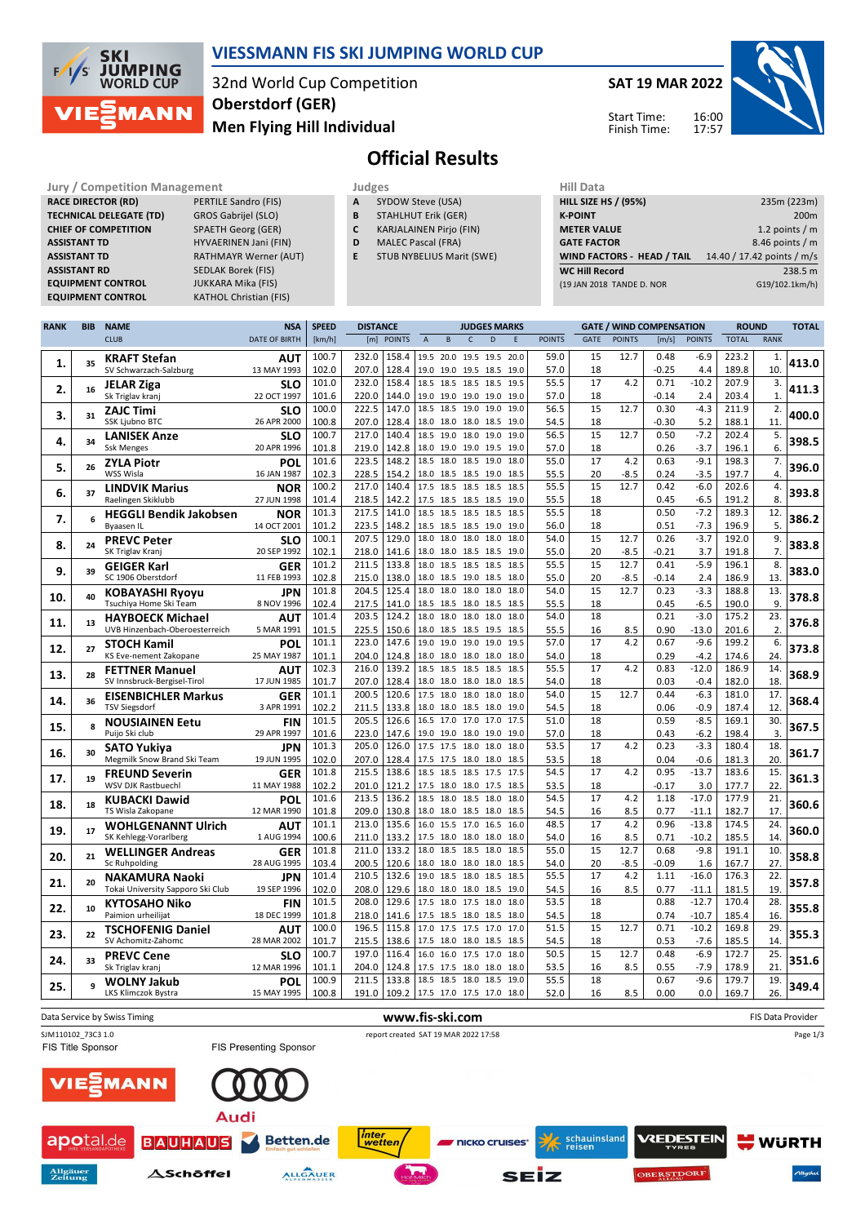

## **VIESSMANN FIS SKI JUMPING WORLD CUP**

32nd World Cup Competition **Men Flying Hill Individual Oberstdorf (GER)**

**SAT 19 MAR 2022** 16:00 Start Time:

Finish Time:

17:57



**Official Results**

| iury / Competition ividiidge |  |
|------------------------------|--|
| <b>RACE DIRECTOR (RD)</b>    |  |
| TECHNICAL DELEGATE (TD)      |  |
| <b>CHIEF OF COMPETITION</b>  |  |
| <b>ASSISTANT TD</b>          |  |
| ASSISTANT TD                 |  |
| <b>ASSISTANT RD</b>          |  |
| <b>EQUIPMENT CONTROL</b>     |  |
| <b>COULDISERE CONTROL</b>    |  |

**Jury / Competition Management Judges Hill Data PERTILE Sandro (FIS)** GROS Gabrijel (SLO) **CHAETH Georg (GER) HYVAERINEN Jani (FIN) RATHMAYR Werner (AUT) SEDLAK Borek (FIS) EQUIPMENT CONTROL** JUKKARA Mika (FIS) **EQUIPMENT CONTROL** KATHOL Christian (FIS)

- **A** SYDOW Steve (USA) **B** STAHLHUT Erik (GER)
- **C** KARJALAINEN Pirjo (FIN)
- **D** MALEC Pascal (FRA)
- **E** STUB NYBELIUS Marit (SWE)

| niil Ddtd                         |                            |
|-----------------------------------|----------------------------|
| <b>HILL SIZE HS / (95%)</b>       | 235m (223m)                |
| <b>K-POINT</b>                    | 200 <sub>m</sub>           |
| <b>METER VALUE</b>                | 1.2 points $/m$            |
| <b>GATE FACTOR</b>                | 8.46 points $/m$           |
| <b>WIND FACTORS - HEAD / TAIL</b> | 14.40 / 17.42 points / m/s |
| <b>WC Hill Record</b>             | 238.5 m                    |
| (19 JAN 2018 TANDE D. NOR         | G19/102.1km/h)             |
|                                   |                            |

| <b>CLUB</b><br><b>DATE OF BIRTH</b><br>[km/h]<br>[m] POINTS<br><b>GATE</b><br><b>POINTS</b><br><b>POINTS</b><br><b>TOTAL</b><br><b>RANK</b><br>$\overline{A}$<br>$\sf{B}$<br>$\mathsf{C}$<br>$\overline{D}$<br>E<br><b>POINTS</b><br>[m/s]<br>100.7<br>232.0<br>158.4<br>59.0<br>12.7<br>0.48<br>223.2<br>19.5 20.0<br>19.5 19.5<br>20.0<br>15<br>-6.9<br>1.<br><b>AUT</b><br>KRAFT Stefan<br>413.0<br>35<br>1.<br>13 MAY 1993<br>102.0<br>128.4<br>19.0 19.0 19.5 18.5<br>SV Schwarzach-Salzburg<br>207.0<br>19.0<br>57.0<br>18<br>$-0.25$<br>4.4<br>189.8<br>10<br>101.0<br>232.0<br>158.4<br>55.5<br>17<br>0.71<br>$-10.2$<br>207.9<br>18.5 18.5 18.5 18.5<br>4.2<br>3.<br>19.5<br>SLO<br><b>JELAR Ziga</b><br>411.3<br>2.<br>16<br>$\mathbf{1}$<br>22 OCT 1997<br>101.6<br>220.0<br>144.0<br>19.0 19.0 19.0 19.0<br>57.0<br>$-0.14$<br>2.4<br>203.4<br>Sk Triglav kranj<br>19.0<br>18<br>100.0<br>222.5<br>147.0<br>18.5<br>56.5<br>15<br>12.7<br>0.30<br>$-4.3$<br>211.9<br>18.5<br>19.0<br>19.0<br>19.0<br>2.<br><b>SLO</b><br><b>ZAJC Timi</b><br>400.0<br>з.<br>31<br>100.8<br>207.0<br>128.4<br>11<br><b>SSK Ljubno BTC</b><br>26 APR 2000<br>18.0 18.0 18.0 18.5<br>54.5<br>18<br>$-0.30$<br>5.2<br>188.1<br>19.0<br>217.0<br>100.7<br>140.4<br>18.5 19.0<br>56.5<br>15<br>12.7<br>0.50<br>$-7.2$<br>202.4<br>5.<br>18.0<br>19.0<br>19.0<br>SLO<br><b>LANISEK Anze</b><br>398.5<br>4.<br>34<br>6.<br>20 APR 1996<br>101.8<br>219.0<br>142.8<br>0.26<br>$-3.7$<br>196.1<br><b>Ssk Menges</b><br>18.0 19.0 19.0 19.5<br>19.0<br>57.0<br>18<br>101.6<br>223.5<br>148.2<br>18.5<br>55.0<br>17<br>4.2<br>0.63<br>$-9.1$<br>198.3<br>7.<br>18.0<br>18.5 19.0<br>18.0<br><b>ZYLA Piotr</b><br>POL<br>396.0<br>5.<br>26<br>WSS Wisla<br>102.3<br>228.5<br>154.2<br>20<br>$-8.5$<br>197.7<br>16 JAN 1987<br>18.0 18.5<br>55.5<br>0.24<br>$-3.5$<br>4.<br>18.5 19.0<br>18.5<br>217.0<br>100.2<br>140.4<br>55.5<br>15<br>12.7<br>0.42<br>$-6.0$<br>202.6<br>4.<br>18.5<br>17.5<br>18.5<br>18.5<br>18.5<br><b>LINDVIK Marius</b><br><b>NOR</b><br>393.8<br>6.<br>37<br>101.4<br>218.5<br>142.2<br>$-6.5$<br>8.<br>Raelingen Skiklubb<br>27 JUN 1998<br>17.5 18.5 18.5 18.5<br>19.0<br>55.5<br>18<br>0.45<br>191.2<br>217.5<br>101.3<br>141.0<br>55.5<br>18<br>0.50<br>$-7.2$<br>189.3<br>12.<br>18.5<br>18.5<br>18.5<br>18.5<br>18.5<br><b>NOR</b><br><b>HEGGLI Bendik Jakobsen</b><br>386.2<br>7.<br>6<br>5.<br>101.2<br>223.5<br>148.2<br>18<br>$-7.3$<br>196.9<br><b>Byaasen IL</b><br>14 OCT 2001<br>18.5 18.5 18.5 19.0<br>19.0<br>56.0<br>0.51<br>100.1<br>207.5<br>129.0<br>18.0<br>54.0<br>15<br>0.26<br>$-3.7$<br>192.0<br>9.<br>18.0<br>18.0<br>18.0<br>18.0<br>12.7<br><b>PREVC Peter</b><br><b>SLO</b><br>383.8<br>8.<br>24<br>7.<br>102.1<br>20 SEP 1992<br>218.0<br>141.6<br>18.0 18.0 18.5 18.5<br>55.0<br>20<br>$-8.5$<br>$-0.21$<br>3.7<br>191.8<br>SK Triglav Kranj<br>19.0<br>15<br>12.7<br>101.2<br>211.5<br>133.8<br>55.5<br>0.41<br>$-5.9$<br>196.1<br>8.<br>18.0<br>18.5<br>18.5<br>18.5<br>18.5<br><b>GER</b><br><b>GEIGER Karl</b><br>383.0<br>9.<br>39<br>SC 1906 Oberstdorf<br>11 FEB 1993<br>102.8<br>215.0<br>138.0<br>18.0 18.5 19.0 18.5<br>55.0<br>$-8.5$<br>13.<br>18.0<br>20<br>$-0.14$<br>2.4<br>186.9<br>204.5<br>125.4<br>15<br>0.23<br>13.<br>101.8<br>18.0 18.0 18.0<br>54.0<br>12.7<br>$-3.3$<br>188.8<br>18.0<br>18.0<br>JPN<br><b>KOBAYASHI Ryoyu</b><br>378.8<br>10.<br>40<br>8 NOV 1996<br>102.4<br>Tsuchiya Home Ski Team<br>217.5<br>141.0<br>18.5 18.5 18.0 18.5<br>18.5<br>55.5<br>18<br>0.45<br>$-6.5$<br>190.0<br>9.<br>101.4<br>203.5<br>124.2<br>54.0<br>18<br>0.21<br>$-3.0$<br>23.<br>18.0 18.0<br>175.2<br>18.0<br>18.0<br>18.0<br>AUT<br><b>HAYBOECK Michael</b><br>376.8<br>11.<br>13<br>225.5<br>150.6<br>2<br>UVB Hinzenbach-Oberoesterreich<br>5 MAR 1991<br>101.5<br>18.0 18.5<br>55.5<br>16<br>8.5<br>0.90<br>$-13.0$<br>201.6<br>18.5<br>19.5<br>18.5<br>101.1<br>223.0<br>147.6<br>57.0<br>17<br>4.2<br>$-9.6$<br>199.2<br>6.<br>19.0<br>19.0<br>19.0<br>19.0<br>19.5<br>0.67<br><b>STOCH Kamil</b><br>POL<br>373.8<br>12.<br>27<br>101.1<br>204.0<br>124.8<br>0.29<br>$-4.2$<br>24<br>KS Eve-nement Zakopane<br>25 MAY 1987<br>18.0 18.0<br>18.0 18.0<br>18.0<br>54.0<br>18<br>174.6<br>216.0<br>102.3<br>139.2<br>18.5 18.5 18.5 18.5<br>18.5<br>55.5<br>17<br>4.2<br>0.83<br>$-12.0$<br>186.9<br>14<br>AUT<br><b>FETTNER Manuel</b><br>368.9<br>13.<br>28<br>SV Innsbruck-Bergisel-Tirol<br>17 JUN 1985<br>101.7<br>207.0<br>128.4<br>18.0 18.0 18.0 18.0<br>0.03<br>$-0.4$<br>182.0<br>18<br>18.5<br>54.0<br>18<br>101.1<br>200.5<br>120.6<br>54.0<br>15<br>181.0<br>17.<br>17.5<br>18.0<br>18.0 18.0<br>18.0<br>12.7<br>0.44<br>$-6.3$<br><b>EISENBICHLER Markus</b><br><b>GER</b><br>368.4<br>14.<br>36<br>102.2<br>12<br><b>TSV Siegsdorf</b><br>3 APR 1991<br>211.5<br>133.8<br>18.0 18.0 18.5 18.0<br>54.5<br>18<br>0.06<br>$-0.9$<br>187.4<br>19.0<br>30.<br>101.5<br>205.5<br>126.6<br>51.0<br>18<br>0.59<br>$-8.5$<br>169.1<br>16.5 17.0<br>17.0<br>17.0<br>17.5<br><b>NOUSIAINEN Eetu</b><br><b>FIN</b><br>367.5<br>15.<br>8<br>Puijo Ski club<br>29 APR 1997<br>101.6<br>223.0<br>147.6<br>19.0 19.0 18.0 19.0<br>3.<br>19.0<br>57.0<br>18<br>0.43<br>$-6.2$<br>198.4<br>205.0<br>126.0<br>17<br>4.2<br>18.<br>101.3<br>17.5 17.5 18.0<br>53.5<br>0.23<br>$-3.3$<br>180.4<br>18.0<br>18.0<br><b>SATO Yukiya</b><br>JPN<br>361.7<br>16.<br>30<br>Megmilk Snow Brand Ski Team<br>19 JUN 1995<br>102.0<br>207.0<br>128.4<br>0.04<br>$-0.6$<br>181.3<br>20<br>17.5 17.5 18.0 18.0<br>18.5<br>53.5<br>18<br>101.8<br>215.5<br>138.6<br>54.5<br>17<br>0.95<br>$-13.7$<br>183.6<br>15.<br>18.5 18.5<br>18.5 17.5<br>17.5<br>4.2<br><b>FREUND Severin</b><br><b>GER</b><br>361.3<br>17.<br>19<br>WSV DJK Rastbuechl<br>102.2<br>201.0<br>121.2<br>22<br>11 MAY 1988<br>17.5 18.0<br>53.5<br>18<br>$-0.17$<br>3.0<br>177.7<br>18.0 17.5<br>18.5<br>101.6<br>213.5<br>136.2<br>54.5<br>17<br>1.18<br>$-17.0$<br>177.9<br>21.<br>18.5 18.0<br>18.5<br>18.0<br>4.2<br>18.0<br>POL<br><b>KUBACKI Dawid</b><br>360.6<br>18.<br>18<br>12 MAR 1990<br>209.0<br>130.8<br>8.5<br>17.<br>TS Wisla Zakopane<br>101.8<br>18.0 18.0<br>18.5<br>54.5<br>0.77<br>$-11.1$<br>182.7<br>18.5 18.0<br>16<br>101.1<br>213.0<br>17<br>4.2<br>0.96<br>$-13.8$<br>174.5<br>24<br>135.6<br>16.0 15.5 17.0 16.5<br>48.5<br>16.0<br><b>WOHLGENANNT Ulrich</b><br><b>AUT</b><br>360.0<br>19.<br>17<br>SK Kehlegg-Vorarlberg<br>1 AUG 1994<br>100.6<br>211.0<br>133.2<br>17.5 18.0 18.0 18.0<br>8.5<br>$-10.2$<br>185.5<br>14<br>18.0<br>54.0<br>16<br>0.71<br>101.8<br>211.0<br>133.2<br>18.0<br>18.5<br>55.0<br>15<br>12.7<br>0.68<br>$-9.8$<br>191.1<br>10.<br>18.5 18.0<br>18.5<br><b>WELLINGER Andreas</b><br><b>GER</b><br>358.8<br>20.<br>21<br>103.4<br>200.5<br>120.6<br>27.<br>Sc Ruhpolding<br>28 AUG 1995<br>18.0 18.0 18.0 18.0<br>54.0<br>20<br>$-8.5$<br>$-0.09$<br>167.7<br>18.5<br>1.6<br>101.4<br>210.5<br>132.6<br>55.5<br>17<br>4.2<br>1.11<br>$-16.0$<br>176.3<br>22.<br>19.0<br>18.5<br>18.0<br>18.5<br>18.5<br><b>NAKAMURA Naoki</b><br>JPN<br>357.8<br>21.<br>20<br>102.0<br>208.0<br>129.6<br>8.5<br>19<br>Tokai University Sapporo Ski Club<br>19 SEP 1996<br>18.0 18.0 18.0 18.5<br>54.5<br>16<br>0.77<br>$-11.1$<br>181.5<br>19.0<br>101.5<br>208.0<br>129.6<br>17.5 18.0 17.5 18.0<br>53.5<br>18<br>0.88<br>$-12.7$<br>28.<br>18.0<br>170.4<br><b>FIN</b><br><b>KYTOSAHO Niko</b><br>355.8<br>22.<br>10<br>Paimion urheilijat<br>18 DEC 1999<br>101.8<br>218.0<br>141.6<br>17.5 18.5 18.0 18.5<br>18<br>0.74<br>$-10.7$<br>185.4<br>16<br>18.0<br>54.5<br>100.0<br>196.5<br>115.8<br>51.5<br>15<br>12.7<br>0.71<br>$-10.2$<br>169.8<br>29<br>17.0 17.5 17.5 17.0<br>17.0<br><b>TSCHOFENIG Daniel</b><br>AUT<br>355.3<br>23.<br>22<br>SV Achomitz-Zahomc<br>28 MAR 2002<br>101.7<br>138.6<br>17.5 18.0<br>215.5<br>18.0<br>18.5<br>18.5<br>54.5<br>18<br>0.53<br>$-7.6$<br>185.5<br>14<br>25.<br>100.7<br>197.0<br>116.4<br>50.5<br>15<br>0.48<br>$-6.9$<br>172.7<br>16.0<br>12.7<br>16.0<br>17.5<br>17.0<br>18.0<br>SLO<br><b>PREVC Cene</b><br>351.6<br>24.<br>33<br>21<br>12 MAR 1996<br>204.0<br>124.8<br>8.5<br>$-7.9$<br>101.1<br>17.5 17.5<br>53.5<br>16<br>0.55<br>178.9<br>Sk Triglav kranj<br>18.0<br>18.0<br>18.0<br>100.9<br>211.5<br>133.8<br>18.5 18.5 18.0<br>55.5<br>$-9.6$<br>179.7<br>18.5<br>19.0<br>18<br>0.67<br>19.<br>POL<br><b>WOLNY Jakub</b><br>349.4<br>25.<br>9 | <b>RANK</b> | <b>BIB</b> | <b>NAME</b> | <b>NSA</b>  | <b>SPEED</b> | <b>DISTANCE</b> |  |  | <b>JUDGES MARKS</b> |      |    |     | <b>GATE / WIND COMPENSATION</b> |     | <b>ROUND</b> |     | <b>TOTAL</b> |
|----------------------------------------------------------------------------------------------------------------------------------------------------------------------------------------------------------------------------------------------------------------------------------------------------------------------------------------------------------------------------------------------------------------------------------------------------------------------------------------------------------------------------------------------------------------------------------------------------------------------------------------------------------------------------------------------------------------------------------------------------------------------------------------------------------------------------------------------------------------------------------------------------------------------------------------------------------------------------------------------------------------------------------------------------------------------------------------------------------------------------------------------------------------------------------------------------------------------------------------------------------------------------------------------------------------------------------------------------------------------------------------------------------------------------------------------------------------------------------------------------------------------------------------------------------------------------------------------------------------------------------------------------------------------------------------------------------------------------------------------------------------------------------------------------------------------------------------------------------------------------------------------------------------------------------------------------------------------------------------------------------------------------------------------------------------------------------------------------------------------------------------------------------------------------------------------------------------------------------------------------------------------------------------------------------------------------------------------------------------------------------------------------------------------------------------------------------------------------------------------------------------------------------------------------------------------------------------------------------------------------------------------------------------------------------------------------------------------------------------------------------------------------------------------------------------------------------------------------------------------------------------------------------------------------------------------------------------------------------------------------------------------------------------------------------------------------------------------------------------------------------------------------------------------------------------------------------------------------------------------------------------------------------------------------------------------------------------------------------------------------------------------------------------------------------------------------------------------------------------------------------------------------------------------------------------------------------------------------------------------------------------------------------------------------------------------------------------------------------------------------------------------------------------------------------------------------------------------------------------------------------------------------------------------------------------------------------------------------------------------------------------------------------------------------------------------------------------------------------------------------------------------------------------------------------------------------------------------------------------------------------------------------------------------------------------------------------------------------------------------------------------------------------------------------------------------------------------------------------------------------------------------------------------------------------------------------------------------------------------------------------------------------------------------------------------------------------------------------------------------------------------------------------------------------------------------------------------------------------------------------------------------------------------------------------------------------------------------------------------------------------------------------------------------------------------------------------------------------------------------------------------------------------------------------------------------------------------------------------------------------------------------------------------------------------------------------------------------------------------------------------------------------------------------------------------------------------------------------------------------------------------------------------------------------------------------------------------------------------------------------------------------------------------------------------------------------------------------------------------------------------------------------------------------------------------------------------------------------------------------------------------------------------------------------------------------------------------------------------------------------------------------------------------------------------------------------------------------------------------------------------------------------------------------------------------------------------------------------------------------------------------------------------------------------------------------------------------------------------------------------------------------------------------------------------------------------------------------------------------------------------------------------------------------------------------------------------------------------------------------------------------------------------------------------------------------------------------------------------------------------------------------------------------------------------------------------------------------------------------------------------------------------------------------------------------------------------------------------------------------------------------------------------------------------------------------------------------------------------------------------------------------------------------------------------------------------------------------------------------------------------------------------------------------------------------------------------------------------------------------------------------------------------------------------------------------------------------------------------------------------------------------------------------------------------------------------------------------------------------------------------------------------------------------------------------------------------------------------------------------------------------------------------------------------------------------------------------------------------------------------------------------------------------------------------------------------------------------------------------------------------------------------------------------------------------------------------------------------------------------------------------------------------------------------------------------------------------------------------------------------------------------------------------------------------------------------------------------------------------------------------------------------------------------------------------------------------------|-------------|------------|-------------|-------------|--------------|-----------------|--|--|---------------------|------|----|-----|---------------------------------|-----|--------------|-----|--------------|
|                                                                                                                                                                                                                                                                                                                                                                                                                                                                                                                                                                                                                                                                                                                                                                                                                                                                                                                                                                                                                                                                                                                                                                                                                                                                                                                                                                                                                                                                                                                                                                                                                                                                                                                                                                                                                                                                                                                                                                                                                                                                                                                                                                                                                                                                                                                                                                                                                                                                                                                                                                                                                                                                                                                                                                                                                                                                                                                                                                                                                                                                                                                                                                                                                                                                                                                                                                                                                                                                                                                                                                                                                                                                                                                                                                                                                                                                                                                                                                                                                                                                                                                                                                                                                                                                                                                                                                                                                                                                                                                                                                                                                                                                                                                                                                                                                                                                                                                                                                                                                                                                                                                                                                                                                                                                                                                                                                                                                                                                                                                                                                                                                                                                                                                                                                                                                                                                                                                                                                                                                                                                                                                                                                                                                                                                                                                                                                                                                                                                                                                                                                                                                                                                                                                                                                                                                                                                                                                                                                                                                                                                                                                                                                                                                                                                                                                                                                                                                                                                                                                                                                                                                                                                                                                                                                                                                                                                                                                                                                                                                                                                                                                                                                                                                                                                                                                                                                                                                                                                |             |            |             |             |              |                 |  |  |                     |      |    |     |                                 |     |              |     |              |
|                                                                                                                                                                                                                                                                                                                                                                                                                                                                                                                                                                                                                                                                                                                                                                                                                                                                                                                                                                                                                                                                                                                                                                                                                                                                                                                                                                                                                                                                                                                                                                                                                                                                                                                                                                                                                                                                                                                                                                                                                                                                                                                                                                                                                                                                                                                                                                                                                                                                                                                                                                                                                                                                                                                                                                                                                                                                                                                                                                                                                                                                                                                                                                                                                                                                                                                                                                                                                                                                                                                                                                                                                                                                                                                                                                                                                                                                                                                                                                                                                                                                                                                                                                                                                                                                                                                                                                                                                                                                                                                                                                                                                                                                                                                                                                                                                                                                                                                                                                                                                                                                                                                                                                                                                                                                                                                                                                                                                                                                                                                                                                                                                                                                                                                                                                                                                                                                                                                                                                                                                                                                                                                                                                                                                                                                                                                                                                                                                                                                                                                                                                                                                                                                                                                                                                                                                                                                                                                                                                                                                                                                                                                                                                                                                                                                                                                                                                                                                                                                                                                                                                                                                                                                                                                                                                                                                                                                                                                                                                                                                                                                                                                                                                                                                                                                                                                                                                                                                                                                |             |            |             |             |              |                 |  |  |                     |      |    |     |                                 |     |              |     |              |
|                                                                                                                                                                                                                                                                                                                                                                                                                                                                                                                                                                                                                                                                                                                                                                                                                                                                                                                                                                                                                                                                                                                                                                                                                                                                                                                                                                                                                                                                                                                                                                                                                                                                                                                                                                                                                                                                                                                                                                                                                                                                                                                                                                                                                                                                                                                                                                                                                                                                                                                                                                                                                                                                                                                                                                                                                                                                                                                                                                                                                                                                                                                                                                                                                                                                                                                                                                                                                                                                                                                                                                                                                                                                                                                                                                                                                                                                                                                                                                                                                                                                                                                                                                                                                                                                                                                                                                                                                                                                                                                                                                                                                                                                                                                                                                                                                                                                                                                                                                                                                                                                                                                                                                                                                                                                                                                                                                                                                                                                                                                                                                                                                                                                                                                                                                                                                                                                                                                                                                                                                                                                                                                                                                                                                                                                                                                                                                                                                                                                                                                                                                                                                                                                                                                                                                                                                                                                                                                                                                                                                                                                                                                                                                                                                                                                                                                                                                                                                                                                                                                                                                                                                                                                                                                                                                                                                                                                                                                                                                                                                                                                                                                                                                                                                                                                                                                                                                                                                                                                |             |            |             |             |              |                 |  |  |                     |      |    |     |                                 |     |              |     |              |
|                                                                                                                                                                                                                                                                                                                                                                                                                                                                                                                                                                                                                                                                                                                                                                                                                                                                                                                                                                                                                                                                                                                                                                                                                                                                                                                                                                                                                                                                                                                                                                                                                                                                                                                                                                                                                                                                                                                                                                                                                                                                                                                                                                                                                                                                                                                                                                                                                                                                                                                                                                                                                                                                                                                                                                                                                                                                                                                                                                                                                                                                                                                                                                                                                                                                                                                                                                                                                                                                                                                                                                                                                                                                                                                                                                                                                                                                                                                                                                                                                                                                                                                                                                                                                                                                                                                                                                                                                                                                                                                                                                                                                                                                                                                                                                                                                                                                                                                                                                                                                                                                                                                                                                                                                                                                                                                                                                                                                                                                                                                                                                                                                                                                                                                                                                                                                                                                                                                                                                                                                                                                                                                                                                                                                                                                                                                                                                                                                                                                                                                                                                                                                                                                                                                                                                                                                                                                                                                                                                                                                                                                                                                                                                                                                                                                                                                                                                                                                                                                                                                                                                                                                                                                                                                                                                                                                                                                                                                                                                                                                                                                                                                                                                                                                                                                                                                                                                                                                                                                |             |            |             |             |              |                 |  |  |                     |      |    |     |                                 |     |              |     |              |
|                                                                                                                                                                                                                                                                                                                                                                                                                                                                                                                                                                                                                                                                                                                                                                                                                                                                                                                                                                                                                                                                                                                                                                                                                                                                                                                                                                                                                                                                                                                                                                                                                                                                                                                                                                                                                                                                                                                                                                                                                                                                                                                                                                                                                                                                                                                                                                                                                                                                                                                                                                                                                                                                                                                                                                                                                                                                                                                                                                                                                                                                                                                                                                                                                                                                                                                                                                                                                                                                                                                                                                                                                                                                                                                                                                                                                                                                                                                                                                                                                                                                                                                                                                                                                                                                                                                                                                                                                                                                                                                                                                                                                                                                                                                                                                                                                                                                                                                                                                                                                                                                                                                                                                                                                                                                                                                                                                                                                                                                                                                                                                                                                                                                                                                                                                                                                                                                                                                                                                                                                                                                                                                                                                                                                                                                                                                                                                                                                                                                                                                                                                                                                                                                                                                                                                                                                                                                                                                                                                                                                                                                                                                                                                                                                                                                                                                                                                                                                                                                                                                                                                                                                                                                                                                                                                                                                                                                                                                                                                                                                                                                                                                                                                                                                                                                                                                                                                                                                                                                |             |            |             |             |              |                 |  |  |                     |      |    |     |                                 |     |              |     |              |
|                                                                                                                                                                                                                                                                                                                                                                                                                                                                                                                                                                                                                                                                                                                                                                                                                                                                                                                                                                                                                                                                                                                                                                                                                                                                                                                                                                                                                                                                                                                                                                                                                                                                                                                                                                                                                                                                                                                                                                                                                                                                                                                                                                                                                                                                                                                                                                                                                                                                                                                                                                                                                                                                                                                                                                                                                                                                                                                                                                                                                                                                                                                                                                                                                                                                                                                                                                                                                                                                                                                                                                                                                                                                                                                                                                                                                                                                                                                                                                                                                                                                                                                                                                                                                                                                                                                                                                                                                                                                                                                                                                                                                                                                                                                                                                                                                                                                                                                                                                                                                                                                                                                                                                                                                                                                                                                                                                                                                                                                                                                                                                                                                                                                                                                                                                                                                                                                                                                                                                                                                                                                                                                                                                                                                                                                                                                                                                                                                                                                                                                                                                                                                                                                                                                                                                                                                                                                                                                                                                                                                                                                                                                                                                                                                                                                                                                                                                                                                                                                                                                                                                                                                                                                                                                                                                                                                                                                                                                                                                                                                                                                                                                                                                                                                                                                                                                                                                                                                                                                |             |            |             |             |              |                 |  |  |                     |      |    |     |                                 |     |              |     |              |
|                                                                                                                                                                                                                                                                                                                                                                                                                                                                                                                                                                                                                                                                                                                                                                                                                                                                                                                                                                                                                                                                                                                                                                                                                                                                                                                                                                                                                                                                                                                                                                                                                                                                                                                                                                                                                                                                                                                                                                                                                                                                                                                                                                                                                                                                                                                                                                                                                                                                                                                                                                                                                                                                                                                                                                                                                                                                                                                                                                                                                                                                                                                                                                                                                                                                                                                                                                                                                                                                                                                                                                                                                                                                                                                                                                                                                                                                                                                                                                                                                                                                                                                                                                                                                                                                                                                                                                                                                                                                                                                                                                                                                                                                                                                                                                                                                                                                                                                                                                                                                                                                                                                                                                                                                                                                                                                                                                                                                                                                                                                                                                                                                                                                                                                                                                                                                                                                                                                                                                                                                                                                                                                                                                                                                                                                                                                                                                                                                                                                                                                                                                                                                                                                                                                                                                                                                                                                                                                                                                                                                                                                                                                                                                                                                                                                                                                                                                                                                                                                                                                                                                                                                                                                                                                                                                                                                                                                                                                                                                                                                                                                                                                                                                                                                                                                                                                                                                                                                                                                |             |            |             |             |              |                 |  |  |                     |      |    |     |                                 |     |              |     |              |
|                                                                                                                                                                                                                                                                                                                                                                                                                                                                                                                                                                                                                                                                                                                                                                                                                                                                                                                                                                                                                                                                                                                                                                                                                                                                                                                                                                                                                                                                                                                                                                                                                                                                                                                                                                                                                                                                                                                                                                                                                                                                                                                                                                                                                                                                                                                                                                                                                                                                                                                                                                                                                                                                                                                                                                                                                                                                                                                                                                                                                                                                                                                                                                                                                                                                                                                                                                                                                                                                                                                                                                                                                                                                                                                                                                                                                                                                                                                                                                                                                                                                                                                                                                                                                                                                                                                                                                                                                                                                                                                                                                                                                                                                                                                                                                                                                                                                                                                                                                                                                                                                                                                                                                                                                                                                                                                                                                                                                                                                                                                                                                                                                                                                                                                                                                                                                                                                                                                                                                                                                                                                                                                                                                                                                                                                                                                                                                                                                                                                                                                                                                                                                                                                                                                                                                                                                                                                                                                                                                                                                                                                                                                                                                                                                                                                                                                                                                                                                                                                                                                                                                                                                                                                                                                                                                                                                                                                                                                                                                                                                                                                                                                                                                                                                                                                                                                                                                                                                                                                |             |            |             |             |              |                 |  |  |                     |      |    |     |                                 |     |              |     |              |
|                                                                                                                                                                                                                                                                                                                                                                                                                                                                                                                                                                                                                                                                                                                                                                                                                                                                                                                                                                                                                                                                                                                                                                                                                                                                                                                                                                                                                                                                                                                                                                                                                                                                                                                                                                                                                                                                                                                                                                                                                                                                                                                                                                                                                                                                                                                                                                                                                                                                                                                                                                                                                                                                                                                                                                                                                                                                                                                                                                                                                                                                                                                                                                                                                                                                                                                                                                                                                                                                                                                                                                                                                                                                                                                                                                                                                                                                                                                                                                                                                                                                                                                                                                                                                                                                                                                                                                                                                                                                                                                                                                                                                                                                                                                                                                                                                                                                                                                                                                                                                                                                                                                                                                                                                                                                                                                                                                                                                                                                                                                                                                                                                                                                                                                                                                                                                                                                                                                                                                                                                                                                                                                                                                                                                                                                                                                                                                                                                                                                                                                                                                                                                                                                                                                                                                                                                                                                                                                                                                                                                                                                                                                                                                                                                                                                                                                                                                                                                                                                                                                                                                                                                                                                                                                                                                                                                                                                                                                                                                                                                                                                                                                                                                                                                                                                                                                                                                                                                                                                |             |            |             |             |              |                 |  |  |                     |      |    |     |                                 |     |              |     |              |
|                                                                                                                                                                                                                                                                                                                                                                                                                                                                                                                                                                                                                                                                                                                                                                                                                                                                                                                                                                                                                                                                                                                                                                                                                                                                                                                                                                                                                                                                                                                                                                                                                                                                                                                                                                                                                                                                                                                                                                                                                                                                                                                                                                                                                                                                                                                                                                                                                                                                                                                                                                                                                                                                                                                                                                                                                                                                                                                                                                                                                                                                                                                                                                                                                                                                                                                                                                                                                                                                                                                                                                                                                                                                                                                                                                                                                                                                                                                                                                                                                                                                                                                                                                                                                                                                                                                                                                                                                                                                                                                                                                                                                                                                                                                                                                                                                                                                                                                                                                                                                                                                                                                                                                                                                                                                                                                                                                                                                                                                                                                                                                                                                                                                                                                                                                                                                                                                                                                                                                                                                                                                                                                                                                                                                                                                                                                                                                                                                                                                                                                                                                                                                                                                                                                                                                                                                                                                                                                                                                                                                                                                                                                                                                                                                                                                                                                                                                                                                                                                                                                                                                                                                                                                                                                                                                                                                                                                                                                                                                                                                                                                                                                                                                                                                                                                                                                                                                                                                                                                |             |            |             |             |              |                 |  |  |                     |      |    |     |                                 |     |              |     |              |
|                                                                                                                                                                                                                                                                                                                                                                                                                                                                                                                                                                                                                                                                                                                                                                                                                                                                                                                                                                                                                                                                                                                                                                                                                                                                                                                                                                                                                                                                                                                                                                                                                                                                                                                                                                                                                                                                                                                                                                                                                                                                                                                                                                                                                                                                                                                                                                                                                                                                                                                                                                                                                                                                                                                                                                                                                                                                                                                                                                                                                                                                                                                                                                                                                                                                                                                                                                                                                                                                                                                                                                                                                                                                                                                                                                                                                                                                                                                                                                                                                                                                                                                                                                                                                                                                                                                                                                                                                                                                                                                                                                                                                                                                                                                                                                                                                                                                                                                                                                                                                                                                                                                                                                                                                                                                                                                                                                                                                                                                                                                                                                                                                                                                                                                                                                                                                                                                                                                                                                                                                                                                                                                                                                                                                                                                                                                                                                                                                                                                                                                                                                                                                                                                                                                                                                                                                                                                                                                                                                                                                                                                                                                                                                                                                                                                                                                                                                                                                                                                                                                                                                                                                                                                                                                                                                                                                                                                                                                                                                                                                                                                                                                                                                                                                                                                                                                                                                                                                                                                |             |            |             |             |              |                 |  |  |                     |      |    |     |                                 |     |              |     |              |
|                                                                                                                                                                                                                                                                                                                                                                                                                                                                                                                                                                                                                                                                                                                                                                                                                                                                                                                                                                                                                                                                                                                                                                                                                                                                                                                                                                                                                                                                                                                                                                                                                                                                                                                                                                                                                                                                                                                                                                                                                                                                                                                                                                                                                                                                                                                                                                                                                                                                                                                                                                                                                                                                                                                                                                                                                                                                                                                                                                                                                                                                                                                                                                                                                                                                                                                                                                                                                                                                                                                                                                                                                                                                                                                                                                                                                                                                                                                                                                                                                                                                                                                                                                                                                                                                                                                                                                                                                                                                                                                                                                                                                                                                                                                                                                                                                                                                                                                                                                                                                                                                                                                                                                                                                                                                                                                                                                                                                                                                                                                                                                                                                                                                                                                                                                                                                                                                                                                                                                                                                                                                                                                                                                                                                                                                                                                                                                                                                                                                                                                                                                                                                                                                                                                                                                                                                                                                                                                                                                                                                                                                                                                                                                                                                                                                                                                                                                                                                                                                                                                                                                                                                                                                                                                                                                                                                                                                                                                                                                                                                                                                                                                                                                                                                                                                                                                                                                                                                                                                |             |            |             |             |              |                 |  |  |                     |      |    |     |                                 |     |              |     |              |
|                                                                                                                                                                                                                                                                                                                                                                                                                                                                                                                                                                                                                                                                                                                                                                                                                                                                                                                                                                                                                                                                                                                                                                                                                                                                                                                                                                                                                                                                                                                                                                                                                                                                                                                                                                                                                                                                                                                                                                                                                                                                                                                                                                                                                                                                                                                                                                                                                                                                                                                                                                                                                                                                                                                                                                                                                                                                                                                                                                                                                                                                                                                                                                                                                                                                                                                                                                                                                                                                                                                                                                                                                                                                                                                                                                                                                                                                                                                                                                                                                                                                                                                                                                                                                                                                                                                                                                                                                                                                                                                                                                                                                                                                                                                                                                                                                                                                                                                                                                                                                                                                                                                                                                                                                                                                                                                                                                                                                                                                                                                                                                                                                                                                                                                                                                                                                                                                                                                                                                                                                                                                                                                                                                                                                                                                                                                                                                                                                                                                                                                                                                                                                                                                                                                                                                                                                                                                                                                                                                                                                                                                                                                                                                                                                                                                                                                                                                                                                                                                                                                                                                                                                                                                                                                                                                                                                                                                                                                                                                                                                                                                                                                                                                                                                                                                                                                                                                                                                                                                |             |            |             |             |              |                 |  |  |                     |      |    |     |                                 |     |              |     |              |
|                                                                                                                                                                                                                                                                                                                                                                                                                                                                                                                                                                                                                                                                                                                                                                                                                                                                                                                                                                                                                                                                                                                                                                                                                                                                                                                                                                                                                                                                                                                                                                                                                                                                                                                                                                                                                                                                                                                                                                                                                                                                                                                                                                                                                                                                                                                                                                                                                                                                                                                                                                                                                                                                                                                                                                                                                                                                                                                                                                                                                                                                                                                                                                                                                                                                                                                                                                                                                                                                                                                                                                                                                                                                                                                                                                                                                                                                                                                                                                                                                                                                                                                                                                                                                                                                                                                                                                                                                                                                                                                                                                                                                                                                                                                                                                                                                                                                                                                                                                                                                                                                                                                                                                                                                                                                                                                                                                                                                                                                                                                                                                                                                                                                                                                                                                                                                                                                                                                                                                                                                                                                                                                                                                                                                                                                                                                                                                                                                                                                                                                                                                                                                                                                                                                                                                                                                                                                                                                                                                                                                                                                                                                                                                                                                                                                                                                                                                                                                                                                                                                                                                                                                                                                                                                                                                                                                                                                                                                                                                                                                                                                                                                                                                                                                                                                                                                                                                                                                                                                |             |            |             |             |              |                 |  |  |                     |      |    |     |                                 |     |              |     |              |
|                                                                                                                                                                                                                                                                                                                                                                                                                                                                                                                                                                                                                                                                                                                                                                                                                                                                                                                                                                                                                                                                                                                                                                                                                                                                                                                                                                                                                                                                                                                                                                                                                                                                                                                                                                                                                                                                                                                                                                                                                                                                                                                                                                                                                                                                                                                                                                                                                                                                                                                                                                                                                                                                                                                                                                                                                                                                                                                                                                                                                                                                                                                                                                                                                                                                                                                                                                                                                                                                                                                                                                                                                                                                                                                                                                                                                                                                                                                                                                                                                                                                                                                                                                                                                                                                                                                                                                                                                                                                                                                                                                                                                                                                                                                                                                                                                                                                                                                                                                                                                                                                                                                                                                                                                                                                                                                                                                                                                                                                                                                                                                                                                                                                                                                                                                                                                                                                                                                                                                                                                                                                                                                                                                                                                                                                                                                                                                                                                                                                                                                                                                                                                                                                                                                                                                                                                                                                                                                                                                                                                                                                                                                                                                                                                                                                                                                                                                                                                                                                                                                                                                                                                                                                                                                                                                                                                                                                                                                                                                                                                                                                                                                                                                                                                                                                                                                                                                                                                                                                |             |            |             |             |              |                 |  |  |                     |      |    |     |                                 |     |              |     |              |
|                                                                                                                                                                                                                                                                                                                                                                                                                                                                                                                                                                                                                                                                                                                                                                                                                                                                                                                                                                                                                                                                                                                                                                                                                                                                                                                                                                                                                                                                                                                                                                                                                                                                                                                                                                                                                                                                                                                                                                                                                                                                                                                                                                                                                                                                                                                                                                                                                                                                                                                                                                                                                                                                                                                                                                                                                                                                                                                                                                                                                                                                                                                                                                                                                                                                                                                                                                                                                                                                                                                                                                                                                                                                                                                                                                                                                                                                                                                                                                                                                                                                                                                                                                                                                                                                                                                                                                                                                                                                                                                                                                                                                                                                                                                                                                                                                                                                                                                                                                                                                                                                                                                                                                                                                                                                                                                                                                                                                                                                                                                                                                                                                                                                                                                                                                                                                                                                                                                                                                                                                                                                                                                                                                                                                                                                                                                                                                                                                                                                                                                                                                                                                                                                                                                                                                                                                                                                                                                                                                                                                                                                                                                                                                                                                                                                                                                                                                                                                                                                                                                                                                                                                                                                                                                                                                                                                                                                                                                                                                                                                                                                                                                                                                                                                                                                                                                                                                                                                                                                |             |            |             |             |              |                 |  |  |                     |      |    |     |                                 |     |              |     |              |
|                                                                                                                                                                                                                                                                                                                                                                                                                                                                                                                                                                                                                                                                                                                                                                                                                                                                                                                                                                                                                                                                                                                                                                                                                                                                                                                                                                                                                                                                                                                                                                                                                                                                                                                                                                                                                                                                                                                                                                                                                                                                                                                                                                                                                                                                                                                                                                                                                                                                                                                                                                                                                                                                                                                                                                                                                                                                                                                                                                                                                                                                                                                                                                                                                                                                                                                                                                                                                                                                                                                                                                                                                                                                                                                                                                                                                                                                                                                                                                                                                                                                                                                                                                                                                                                                                                                                                                                                                                                                                                                                                                                                                                                                                                                                                                                                                                                                                                                                                                                                                                                                                                                                                                                                                                                                                                                                                                                                                                                                                                                                                                                                                                                                                                                                                                                                                                                                                                                                                                                                                                                                                                                                                                                                                                                                                                                                                                                                                                                                                                                                                                                                                                                                                                                                                                                                                                                                                                                                                                                                                                                                                                                                                                                                                                                                                                                                                                                                                                                                                                                                                                                                                                                                                                                                                                                                                                                                                                                                                                                                                                                                                                                                                                                                                                                                                                                                                                                                                                                                |             |            |             |             |              |                 |  |  |                     |      |    |     |                                 |     |              |     |              |
|                                                                                                                                                                                                                                                                                                                                                                                                                                                                                                                                                                                                                                                                                                                                                                                                                                                                                                                                                                                                                                                                                                                                                                                                                                                                                                                                                                                                                                                                                                                                                                                                                                                                                                                                                                                                                                                                                                                                                                                                                                                                                                                                                                                                                                                                                                                                                                                                                                                                                                                                                                                                                                                                                                                                                                                                                                                                                                                                                                                                                                                                                                                                                                                                                                                                                                                                                                                                                                                                                                                                                                                                                                                                                                                                                                                                                                                                                                                                                                                                                                                                                                                                                                                                                                                                                                                                                                                                                                                                                                                                                                                                                                                                                                                                                                                                                                                                                                                                                                                                                                                                                                                                                                                                                                                                                                                                                                                                                                                                                                                                                                                                                                                                                                                                                                                                                                                                                                                                                                                                                                                                                                                                                                                                                                                                                                                                                                                                                                                                                                                                                                                                                                                                                                                                                                                                                                                                                                                                                                                                                                                                                                                                                                                                                                                                                                                                                                                                                                                                                                                                                                                                                                                                                                                                                                                                                                                                                                                                                                                                                                                                                                                                                                                                                                                                                                                                                                                                                                                                |             |            |             |             |              |                 |  |  |                     |      |    |     |                                 |     |              |     |              |
|                                                                                                                                                                                                                                                                                                                                                                                                                                                                                                                                                                                                                                                                                                                                                                                                                                                                                                                                                                                                                                                                                                                                                                                                                                                                                                                                                                                                                                                                                                                                                                                                                                                                                                                                                                                                                                                                                                                                                                                                                                                                                                                                                                                                                                                                                                                                                                                                                                                                                                                                                                                                                                                                                                                                                                                                                                                                                                                                                                                                                                                                                                                                                                                                                                                                                                                                                                                                                                                                                                                                                                                                                                                                                                                                                                                                                                                                                                                                                                                                                                                                                                                                                                                                                                                                                                                                                                                                                                                                                                                                                                                                                                                                                                                                                                                                                                                                                                                                                                                                                                                                                                                                                                                                                                                                                                                                                                                                                                                                                                                                                                                                                                                                                                                                                                                                                                                                                                                                                                                                                                                                                                                                                                                                                                                                                                                                                                                                                                                                                                                                                                                                                                                                                                                                                                                                                                                                                                                                                                                                                                                                                                                                                                                                                                                                                                                                                                                                                                                                                                                                                                                                                                                                                                                                                                                                                                                                                                                                                                                                                                                                                                                                                                                                                                                                                                                                                                                                                                                                |             |            |             |             |              |                 |  |  |                     |      |    |     |                                 |     |              |     |              |
|                                                                                                                                                                                                                                                                                                                                                                                                                                                                                                                                                                                                                                                                                                                                                                                                                                                                                                                                                                                                                                                                                                                                                                                                                                                                                                                                                                                                                                                                                                                                                                                                                                                                                                                                                                                                                                                                                                                                                                                                                                                                                                                                                                                                                                                                                                                                                                                                                                                                                                                                                                                                                                                                                                                                                                                                                                                                                                                                                                                                                                                                                                                                                                                                                                                                                                                                                                                                                                                                                                                                                                                                                                                                                                                                                                                                                                                                                                                                                                                                                                                                                                                                                                                                                                                                                                                                                                                                                                                                                                                                                                                                                                                                                                                                                                                                                                                                                                                                                                                                                                                                                                                                                                                                                                                                                                                                                                                                                                                                                                                                                                                                                                                                                                                                                                                                                                                                                                                                                                                                                                                                                                                                                                                                                                                                                                                                                                                                                                                                                                                                                                                                                                                                                                                                                                                                                                                                                                                                                                                                                                                                                                                                                                                                                                                                                                                                                                                                                                                                                                                                                                                                                                                                                                                                                                                                                                                                                                                                                                                                                                                                                                                                                                                                                                                                                                                                                                                                                                                                |             |            |             |             |              |                 |  |  |                     |      |    |     |                                 |     |              |     |              |
|                                                                                                                                                                                                                                                                                                                                                                                                                                                                                                                                                                                                                                                                                                                                                                                                                                                                                                                                                                                                                                                                                                                                                                                                                                                                                                                                                                                                                                                                                                                                                                                                                                                                                                                                                                                                                                                                                                                                                                                                                                                                                                                                                                                                                                                                                                                                                                                                                                                                                                                                                                                                                                                                                                                                                                                                                                                                                                                                                                                                                                                                                                                                                                                                                                                                                                                                                                                                                                                                                                                                                                                                                                                                                                                                                                                                                                                                                                                                                                                                                                                                                                                                                                                                                                                                                                                                                                                                                                                                                                                                                                                                                                                                                                                                                                                                                                                                                                                                                                                                                                                                                                                                                                                                                                                                                                                                                                                                                                                                                                                                                                                                                                                                                                                                                                                                                                                                                                                                                                                                                                                                                                                                                                                                                                                                                                                                                                                                                                                                                                                                                                                                                                                                                                                                                                                                                                                                                                                                                                                                                                                                                                                                                                                                                                                                                                                                                                                                                                                                                                                                                                                                                                                                                                                                                                                                                                                                                                                                                                                                                                                                                                                                                                                                                                                                                                                                                                                                                                                                |             |            |             |             |              |                 |  |  |                     |      |    |     |                                 |     |              |     |              |
|                                                                                                                                                                                                                                                                                                                                                                                                                                                                                                                                                                                                                                                                                                                                                                                                                                                                                                                                                                                                                                                                                                                                                                                                                                                                                                                                                                                                                                                                                                                                                                                                                                                                                                                                                                                                                                                                                                                                                                                                                                                                                                                                                                                                                                                                                                                                                                                                                                                                                                                                                                                                                                                                                                                                                                                                                                                                                                                                                                                                                                                                                                                                                                                                                                                                                                                                                                                                                                                                                                                                                                                                                                                                                                                                                                                                                                                                                                                                                                                                                                                                                                                                                                                                                                                                                                                                                                                                                                                                                                                                                                                                                                                                                                                                                                                                                                                                                                                                                                                                                                                                                                                                                                                                                                                                                                                                                                                                                                                                                                                                                                                                                                                                                                                                                                                                                                                                                                                                                                                                                                                                                                                                                                                                                                                                                                                                                                                                                                                                                                                                                                                                                                                                                                                                                                                                                                                                                                                                                                                                                                                                                                                                                                                                                                                                                                                                                                                                                                                                                                                                                                                                                                                                                                                                                                                                                                                                                                                                                                                                                                                                                                                                                                                                                                                                                                                                                                                                                                                                |             |            |             |             |              |                 |  |  |                     |      |    |     |                                 |     |              |     |              |
|                                                                                                                                                                                                                                                                                                                                                                                                                                                                                                                                                                                                                                                                                                                                                                                                                                                                                                                                                                                                                                                                                                                                                                                                                                                                                                                                                                                                                                                                                                                                                                                                                                                                                                                                                                                                                                                                                                                                                                                                                                                                                                                                                                                                                                                                                                                                                                                                                                                                                                                                                                                                                                                                                                                                                                                                                                                                                                                                                                                                                                                                                                                                                                                                                                                                                                                                                                                                                                                                                                                                                                                                                                                                                                                                                                                                                                                                                                                                                                                                                                                                                                                                                                                                                                                                                                                                                                                                                                                                                                                                                                                                                                                                                                                                                                                                                                                                                                                                                                                                                                                                                                                                                                                                                                                                                                                                                                                                                                                                                                                                                                                                                                                                                                                                                                                                                                                                                                                                                                                                                                                                                                                                                                                                                                                                                                                                                                                                                                                                                                                                                                                                                                                                                                                                                                                                                                                                                                                                                                                                                                                                                                                                                                                                                                                                                                                                                                                                                                                                                                                                                                                                                                                                                                                                                                                                                                                                                                                                                                                                                                                                                                                                                                                                                                                                                                                                                                                                                                                                |             |            |             |             |              |                 |  |  |                     |      |    |     |                                 |     |              |     |              |
|                                                                                                                                                                                                                                                                                                                                                                                                                                                                                                                                                                                                                                                                                                                                                                                                                                                                                                                                                                                                                                                                                                                                                                                                                                                                                                                                                                                                                                                                                                                                                                                                                                                                                                                                                                                                                                                                                                                                                                                                                                                                                                                                                                                                                                                                                                                                                                                                                                                                                                                                                                                                                                                                                                                                                                                                                                                                                                                                                                                                                                                                                                                                                                                                                                                                                                                                                                                                                                                                                                                                                                                                                                                                                                                                                                                                                                                                                                                                                                                                                                                                                                                                                                                                                                                                                                                                                                                                                                                                                                                                                                                                                                                                                                                                                                                                                                                                                                                                                                                                                                                                                                                                                                                                                                                                                                                                                                                                                                                                                                                                                                                                                                                                                                                                                                                                                                                                                                                                                                                                                                                                                                                                                                                                                                                                                                                                                                                                                                                                                                                                                                                                                                                                                                                                                                                                                                                                                                                                                                                                                                                                                                                                                                                                                                                                                                                                                                                                                                                                                                                                                                                                                                                                                                                                                                                                                                                                                                                                                                                                                                                                                                                                                                                                                                                                                                                                                                                                                                                                |             |            |             |             |              |                 |  |  |                     |      |    |     |                                 |     |              |     |              |
|                                                                                                                                                                                                                                                                                                                                                                                                                                                                                                                                                                                                                                                                                                                                                                                                                                                                                                                                                                                                                                                                                                                                                                                                                                                                                                                                                                                                                                                                                                                                                                                                                                                                                                                                                                                                                                                                                                                                                                                                                                                                                                                                                                                                                                                                                                                                                                                                                                                                                                                                                                                                                                                                                                                                                                                                                                                                                                                                                                                                                                                                                                                                                                                                                                                                                                                                                                                                                                                                                                                                                                                                                                                                                                                                                                                                                                                                                                                                                                                                                                                                                                                                                                                                                                                                                                                                                                                                                                                                                                                                                                                                                                                                                                                                                                                                                                                                                                                                                                                                                                                                                                                                                                                                                                                                                                                                                                                                                                                                                                                                                                                                                                                                                                                                                                                                                                                                                                                                                                                                                                                                                                                                                                                                                                                                                                                                                                                                                                                                                                                                                                                                                                                                                                                                                                                                                                                                                                                                                                                                                                                                                                                                                                                                                                                                                                                                                                                                                                                                                                                                                                                                                                                                                                                                                                                                                                                                                                                                                                                                                                                                                                                                                                                                                                                                                                                                                                                                                                                                |             |            |             |             |              |                 |  |  |                     |      |    |     |                                 |     |              |     |              |
|                                                                                                                                                                                                                                                                                                                                                                                                                                                                                                                                                                                                                                                                                                                                                                                                                                                                                                                                                                                                                                                                                                                                                                                                                                                                                                                                                                                                                                                                                                                                                                                                                                                                                                                                                                                                                                                                                                                                                                                                                                                                                                                                                                                                                                                                                                                                                                                                                                                                                                                                                                                                                                                                                                                                                                                                                                                                                                                                                                                                                                                                                                                                                                                                                                                                                                                                                                                                                                                                                                                                                                                                                                                                                                                                                                                                                                                                                                                                                                                                                                                                                                                                                                                                                                                                                                                                                                                                                                                                                                                                                                                                                                                                                                                                                                                                                                                                                                                                                                                                                                                                                                                                                                                                                                                                                                                                                                                                                                                                                                                                                                                                                                                                                                                                                                                                                                                                                                                                                                                                                                                                                                                                                                                                                                                                                                                                                                                                                                                                                                                                                                                                                                                                                                                                                                                                                                                                                                                                                                                                                                                                                                                                                                                                                                                                                                                                                                                                                                                                                                                                                                                                                                                                                                                                                                                                                                                                                                                                                                                                                                                                                                                                                                                                                                                                                                                                                                                                                                                                |             |            |             |             |              |                 |  |  |                     |      |    |     |                                 |     |              |     |              |
|                                                                                                                                                                                                                                                                                                                                                                                                                                                                                                                                                                                                                                                                                                                                                                                                                                                                                                                                                                                                                                                                                                                                                                                                                                                                                                                                                                                                                                                                                                                                                                                                                                                                                                                                                                                                                                                                                                                                                                                                                                                                                                                                                                                                                                                                                                                                                                                                                                                                                                                                                                                                                                                                                                                                                                                                                                                                                                                                                                                                                                                                                                                                                                                                                                                                                                                                                                                                                                                                                                                                                                                                                                                                                                                                                                                                                                                                                                                                                                                                                                                                                                                                                                                                                                                                                                                                                                                                                                                                                                                                                                                                                                                                                                                                                                                                                                                                                                                                                                                                                                                                                                                                                                                                                                                                                                                                                                                                                                                                                                                                                                                                                                                                                                                                                                                                                                                                                                                                                                                                                                                                                                                                                                                                                                                                                                                                                                                                                                                                                                                                                                                                                                                                                                                                                                                                                                                                                                                                                                                                                                                                                                                                                                                                                                                                                                                                                                                                                                                                                                                                                                                                                                                                                                                                                                                                                                                                                                                                                                                                                                                                                                                                                                                                                                                                                                                                                                                                                                                                |             |            |             |             |              |                 |  |  |                     |      |    |     |                                 |     |              |     |              |
|                                                                                                                                                                                                                                                                                                                                                                                                                                                                                                                                                                                                                                                                                                                                                                                                                                                                                                                                                                                                                                                                                                                                                                                                                                                                                                                                                                                                                                                                                                                                                                                                                                                                                                                                                                                                                                                                                                                                                                                                                                                                                                                                                                                                                                                                                                                                                                                                                                                                                                                                                                                                                                                                                                                                                                                                                                                                                                                                                                                                                                                                                                                                                                                                                                                                                                                                                                                                                                                                                                                                                                                                                                                                                                                                                                                                                                                                                                                                                                                                                                                                                                                                                                                                                                                                                                                                                                                                                                                                                                                                                                                                                                                                                                                                                                                                                                                                                                                                                                                                                                                                                                                                                                                                                                                                                                                                                                                                                                                                                                                                                                                                                                                                                                                                                                                                                                                                                                                                                                                                                                                                                                                                                                                                                                                                                                                                                                                                                                                                                                                                                                                                                                                                                                                                                                                                                                                                                                                                                                                                                                                                                                                                                                                                                                                                                                                                                                                                                                                                                                                                                                                                                                                                                                                                                                                                                                                                                                                                                                                                                                                                                                                                                                                                                                                                                                                                                                                                                                                                |             |            |             |             |              |                 |  |  |                     |      |    |     |                                 |     |              |     |              |
|                                                                                                                                                                                                                                                                                                                                                                                                                                                                                                                                                                                                                                                                                                                                                                                                                                                                                                                                                                                                                                                                                                                                                                                                                                                                                                                                                                                                                                                                                                                                                                                                                                                                                                                                                                                                                                                                                                                                                                                                                                                                                                                                                                                                                                                                                                                                                                                                                                                                                                                                                                                                                                                                                                                                                                                                                                                                                                                                                                                                                                                                                                                                                                                                                                                                                                                                                                                                                                                                                                                                                                                                                                                                                                                                                                                                                                                                                                                                                                                                                                                                                                                                                                                                                                                                                                                                                                                                                                                                                                                                                                                                                                                                                                                                                                                                                                                                                                                                                                                                                                                                                                                                                                                                                                                                                                                                                                                                                                                                                                                                                                                                                                                                                                                                                                                                                                                                                                                                                                                                                                                                                                                                                                                                                                                                                                                                                                                                                                                                                                                                                                                                                                                                                                                                                                                                                                                                                                                                                                                                                                                                                                                                                                                                                                                                                                                                                                                                                                                                                                                                                                                                                                                                                                                                                                                                                                                                                                                                                                                                                                                                                                                                                                                                                                                                                                                                                                                                                                                                |             |            |             |             |              |                 |  |  |                     |      |    |     |                                 |     |              |     |              |
|                                                                                                                                                                                                                                                                                                                                                                                                                                                                                                                                                                                                                                                                                                                                                                                                                                                                                                                                                                                                                                                                                                                                                                                                                                                                                                                                                                                                                                                                                                                                                                                                                                                                                                                                                                                                                                                                                                                                                                                                                                                                                                                                                                                                                                                                                                                                                                                                                                                                                                                                                                                                                                                                                                                                                                                                                                                                                                                                                                                                                                                                                                                                                                                                                                                                                                                                                                                                                                                                                                                                                                                                                                                                                                                                                                                                                                                                                                                                                                                                                                                                                                                                                                                                                                                                                                                                                                                                                                                                                                                                                                                                                                                                                                                                                                                                                                                                                                                                                                                                                                                                                                                                                                                                                                                                                                                                                                                                                                                                                                                                                                                                                                                                                                                                                                                                                                                                                                                                                                                                                                                                                                                                                                                                                                                                                                                                                                                                                                                                                                                                                                                                                                                                                                                                                                                                                                                                                                                                                                                                                                                                                                                                                                                                                                                                                                                                                                                                                                                                                                                                                                                                                                                                                                                                                                                                                                                                                                                                                                                                                                                                                                                                                                                                                                                                                                                                                                                                                                                                |             |            |             |             |              |                 |  |  |                     |      |    |     |                                 |     |              |     |              |
|                                                                                                                                                                                                                                                                                                                                                                                                                                                                                                                                                                                                                                                                                                                                                                                                                                                                                                                                                                                                                                                                                                                                                                                                                                                                                                                                                                                                                                                                                                                                                                                                                                                                                                                                                                                                                                                                                                                                                                                                                                                                                                                                                                                                                                                                                                                                                                                                                                                                                                                                                                                                                                                                                                                                                                                                                                                                                                                                                                                                                                                                                                                                                                                                                                                                                                                                                                                                                                                                                                                                                                                                                                                                                                                                                                                                                                                                                                                                                                                                                                                                                                                                                                                                                                                                                                                                                                                                                                                                                                                                                                                                                                                                                                                                                                                                                                                                                                                                                                                                                                                                                                                                                                                                                                                                                                                                                                                                                                                                                                                                                                                                                                                                                                                                                                                                                                                                                                                                                                                                                                                                                                                                                                                                                                                                                                                                                                                                                                                                                                                                                                                                                                                                                                                                                                                                                                                                                                                                                                                                                                                                                                                                                                                                                                                                                                                                                                                                                                                                                                                                                                                                                                                                                                                                                                                                                                                                                                                                                                                                                                                                                                                                                                                                                                                                                                                                                                                                                                                                |             |            |             |             |              |                 |  |  |                     |      |    |     |                                 |     |              |     |              |
|                                                                                                                                                                                                                                                                                                                                                                                                                                                                                                                                                                                                                                                                                                                                                                                                                                                                                                                                                                                                                                                                                                                                                                                                                                                                                                                                                                                                                                                                                                                                                                                                                                                                                                                                                                                                                                                                                                                                                                                                                                                                                                                                                                                                                                                                                                                                                                                                                                                                                                                                                                                                                                                                                                                                                                                                                                                                                                                                                                                                                                                                                                                                                                                                                                                                                                                                                                                                                                                                                                                                                                                                                                                                                                                                                                                                                                                                                                                                                                                                                                                                                                                                                                                                                                                                                                                                                                                                                                                                                                                                                                                                                                                                                                                                                                                                                                                                                                                                                                                                                                                                                                                                                                                                                                                                                                                                                                                                                                                                                                                                                                                                                                                                                                                                                                                                                                                                                                                                                                                                                                                                                                                                                                                                                                                                                                                                                                                                                                                                                                                                                                                                                                                                                                                                                                                                                                                                                                                                                                                                                                                                                                                                                                                                                                                                                                                                                                                                                                                                                                                                                                                                                                                                                                                                                                                                                                                                                                                                                                                                                                                                                                                                                                                                                                                                                                                                                                                                                                                                |             |            |             |             |              |                 |  |  |                     |      |    |     |                                 |     |              |     |              |
|                                                                                                                                                                                                                                                                                                                                                                                                                                                                                                                                                                                                                                                                                                                                                                                                                                                                                                                                                                                                                                                                                                                                                                                                                                                                                                                                                                                                                                                                                                                                                                                                                                                                                                                                                                                                                                                                                                                                                                                                                                                                                                                                                                                                                                                                                                                                                                                                                                                                                                                                                                                                                                                                                                                                                                                                                                                                                                                                                                                                                                                                                                                                                                                                                                                                                                                                                                                                                                                                                                                                                                                                                                                                                                                                                                                                                                                                                                                                                                                                                                                                                                                                                                                                                                                                                                                                                                                                                                                                                                                                                                                                                                                                                                                                                                                                                                                                                                                                                                                                                                                                                                                                                                                                                                                                                                                                                                                                                                                                                                                                                                                                                                                                                                                                                                                                                                                                                                                                                                                                                                                                                                                                                                                                                                                                                                                                                                                                                                                                                                                                                                                                                                                                                                                                                                                                                                                                                                                                                                                                                                                                                                                                                                                                                                                                                                                                                                                                                                                                                                                                                                                                                                                                                                                                                                                                                                                                                                                                                                                                                                                                                                                                                                                                                                                                                                                                                                                                                                                                |             |            |             |             |              |                 |  |  |                     |      |    |     |                                 |     |              |     |              |
|                                                                                                                                                                                                                                                                                                                                                                                                                                                                                                                                                                                                                                                                                                                                                                                                                                                                                                                                                                                                                                                                                                                                                                                                                                                                                                                                                                                                                                                                                                                                                                                                                                                                                                                                                                                                                                                                                                                                                                                                                                                                                                                                                                                                                                                                                                                                                                                                                                                                                                                                                                                                                                                                                                                                                                                                                                                                                                                                                                                                                                                                                                                                                                                                                                                                                                                                                                                                                                                                                                                                                                                                                                                                                                                                                                                                                                                                                                                                                                                                                                                                                                                                                                                                                                                                                                                                                                                                                                                                                                                                                                                                                                                                                                                                                                                                                                                                                                                                                                                                                                                                                                                                                                                                                                                                                                                                                                                                                                                                                                                                                                                                                                                                                                                                                                                                                                                                                                                                                                                                                                                                                                                                                                                                                                                                                                                                                                                                                                                                                                                                                                                                                                                                                                                                                                                                                                                                                                                                                                                                                                                                                                                                                                                                                                                                                                                                                                                                                                                                                                                                                                                                                                                                                                                                                                                                                                                                                                                                                                                                                                                                                                                                                                                                                                                                                                                                                                                                                                                                |             |            |             |             |              |                 |  |  |                     |      |    |     |                                 |     |              |     |              |
|                                                                                                                                                                                                                                                                                                                                                                                                                                                                                                                                                                                                                                                                                                                                                                                                                                                                                                                                                                                                                                                                                                                                                                                                                                                                                                                                                                                                                                                                                                                                                                                                                                                                                                                                                                                                                                                                                                                                                                                                                                                                                                                                                                                                                                                                                                                                                                                                                                                                                                                                                                                                                                                                                                                                                                                                                                                                                                                                                                                                                                                                                                                                                                                                                                                                                                                                                                                                                                                                                                                                                                                                                                                                                                                                                                                                                                                                                                                                                                                                                                                                                                                                                                                                                                                                                                                                                                                                                                                                                                                                                                                                                                                                                                                                                                                                                                                                                                                                                                                                                                                                                                                                                                                                                                                                                                                                                                                                                                                                                                                                                                                                                                                                                                                                                                                                                                                                                                                                                                                                                                                                                                                                                                                                                                                                                                                                                                                                                                                                                                                                                                                                                                                                                                                                                                                                                                                                                                                                                                                                                                                                                                                                                                                                                                                                                                                                                                                                                                                                                                                                                                                                                                                                                                                                                                                                                                                                                                                                                                                                                                                                                                                                                                                                                                                                                                                                                                                                                                                                |             |            |             |             |              |                 |  |  |                     |      |    |     |                                 |     |              |     |              |
|                                                                                                                                                                                                                                                                                                                                                                                                                                                                                                                                                                                                                                                                                                                                                                                                                                                                                                                                                                                                                                                                                                                                                                                                                                                                                                                                                                                                                                                                                                                                                                                                                                                                                                                                                                                                                                                                                                                                                                                                                                                                                                                                                                                                                                                                                                                                                                                                                                                                                                                                                                                                                                                                                                                                                                                                                                                                                                                                                                                                                                                                                                                                                                                                                                                                                                                                                                                                                                                                                                                                                                                                                                                                                                                                                                                                                                                                                                                                                                                                                                                                                                                                                                                                                                                                                                                                                                                                                                                                                                                                                                                                                                                                                                                                                                                                                                                                                                                                                                                                                                                                                                                                                                                                                                                                                                                                                                                                                                                                                                                                                                                                                                                                                                                                                                                                                                                                                                                                                                                                                                                                                                                                                                                                                                                                                                                                                                                                                                                                                                                                                                                                                                                                                                                                                                                                                                                                                                                                                                                                                                                                                                                                                                                                                                                                                                                                                                                                                                                                                                                                                                                                                                                                                                                                                                                                                                                                                                                                                                                                                                                                                                                                                                                                                                                                                                                                                                                                                                                                |             |            |             |             |              |                 |  |  |                     |      |    |     |                                 |     |              |     |              |
|                                                                                                                                                                                                                                                                                                                                                                                                                                                                                                                                                                                                                                                                                                                                                                                                                                                                                                                                                                                                                                                                                                                                                                                                                                                                                                                                                                                                                                                                                                                                                                                                                                                                                                                                                                                                                                                                                                                                                                                                                                                                                                                                                                                                                                                                                                                                                                                                                                                                                                                                                                                                                                                                                                                                                                                                                                                                                                                                                                                                                                                                                                                                                                                                                                                                                                                                                                                                                                                                                                                                                                                                                                                                                                                                                                                                                                                                                                                                                                                                                                                                                                                                                                                                                                                                                                                                                                                                                                                                                                                                                                                                                                                                                                                                                                                                                                                                                                                                                                                                                                                                                                                                                                                                                                                                                                                                                                                                                                                                                                                                                                                                                                                                                                                                                                                                                                                                                                                                                                                                                                                                                                                                                                                                                                                                                                                                                                                                                                                                                                                                                                                                                                                                                                                                                                                                                                                                                                                                                                                                                                                                                                                                                                                                                                                                                                                                                                                                                                                                                                                                                                                                                                                                                                                                                                                                                                                                                                                                                                                                                                                                                                                                                                                                                                                                                                                                                                                                                                                                |             |            |             |             |              |                 |  |  |                     |      |    |     |                                 |     |              |     |              |
|                                                                                                                                                                                                                                                                                                                                                                                                                                                                                                                                                                                                                                                                                                                                                                                                                                                                                                                                                                                                                                                                                                                                                                                                                                                                                                                                                                                                                                                                                                                                                                                                                                                                                                                                                                                                                                                                                                                                                                                                                                                                                                                                                                                                                                                                                                                                                                                                                                                                                                                                                                                                                                                                                                                                                                                                                                                                                                                                                                                                                                                                                                                                                                                                                                                                                                                                                                                                                                                                                                                                                                                                                                                                                                                                                                                                                                                                                                                                                                                                                                                                                                                                                                                                                                                                                                                                                                                                                                                                                                                                                                                                                                                                                                                                                                                                                                                                                                                                                                                                                                                                                                                                                                                                                                                                                                                                                                                                                                                                                                                                                                                                                                                                                                                                                                                                                                                                                                                                                                                                                                                                                                                                                                                                                                                                                                                                                                                                                                                                                                                                                                                                                                                                                                                                                                                                                                                                                                                                                                                                                                                                                                                                                                                                                                                                                                                                                                                                                                                                                                                                                                                                                                                                                                                                                                                                                                                                                                                                                                                                                                                                                                                                                                                                                                                                                                                                                                                                                                                                |             |            |             |             |              |                 |  |  |                     |      |    |     |                                 |     |              |     |              |
|                                                                                                                                                                                                                                                                                                                                                                                                                                                                                                                                                                                                                                                                                                                                                                                                                                                                                                                                                                                                                                                                                                                                                                                                                                                                                                                                                                                                                                                                                                                                                                                                                                                                                                                                                                                                                                                                                                                                                                                                                                                                                                                                                                                                                                                                                                                                                                                                                                                                                                                                                                                                                                                                                                                                                                                                                                                                                                                                                                                                                                                                                                                                                                                                                                                                                                                                                                                                                                                                                                                                                                                                                                                                                                                                                                                                                                                                                                                                                                                                                                                                                                                                                                                                                                                                                                                                                                                                                                                                                                                                                                                                                                                                                                                                                                                                                                                                                                                                                                                                                                                                                                                                                                                                                                                                                                                                                                                                                                                                                                                                                                                                                                                                                                                                                                                                                                                                                                                                                                                                                                                                                                                                                                                                                                                                                                                                                                                                                                                                                                                                                                                                                                                                                                                                                                                                                                                                                                                                                                                                                                                                                                                                                                                                                                                                                                                                                                                                                                                                                                                                                                                                                                                                                                                                                                                                                                                                                                                                                                                                                                                                                                                                                                                                                                                                                                                                                                                                                                                                |             |            |             |             |              |                 |  |  |                     |      |    |     |                                 |     |              |     |              |
|                                                                                                                                                                                                                                                                                                                                                                                                                                                                                                                                                                                                                                                                                                                                                                                                                                                                                                                                                                                                                                                                                                                                                                                                                                                                                                                                                                                                                                                                                                                                                                                                                                                                                                                                                                                                                                                                                                                                                                                                                                                                                                                                                                                                                                                                                                                                                                                                                                                                                                                                                                                                                                                                                                                                                                                                                                                                                                                                                                                                                                                                                                                                                                                                                                                                                                                                                                                                                                                                                                                                                                                                                                                                                                                                                                                                                                                                                                                                                                                                                                                                                                                                                                                                                                                                                                                                                                                                                                                                                                                                                                                                                                                                                                                                                                                                                                                                                                                                                                                                                                                                                                                                                                                                                                                                                                                                                                                                                                                                                                                                                                                                                                                                                                                                                                                                                                                                                                                                                                                                                                                                                                                                                                                                                                                                                                                                                                                                                                                                                                                                                                                                                                                                                                                                                                                                                                                                                                                                                                                                                                                                                                                                                                                                                                                                                                                                                                                                                                                                                                                                                                                                                                                                                                                                                                                                                                                                                                                                                                                                                                                                                                                                                                                                                                                                                                                                                                                                                                                                |             |            |             |             |              |                 |  |  |                     |      |    |     |                                 |     |              |     |              |
|                                                                                                                                                                                                                                                                                                                                                                                                                                                                                                                                                                                                                                                                                                                                                                                                                                                                                                                                                                                                                                                                                                                                                                                                                                                                                                                                                                                                                                                                                                                                                                                                                                                                                                                                                                                                                                                                                                                                                                                                                                                                                                                                                                                                                                                                                                                                                                                                                                                                                                                                                                                                                                                                                                                                                                                                                                                                                                                                                                                                                                                                                                                                                                                                                                                                                                                                                                                                                                                                                                                                                                                                                                                                                                                                                                                                                                                                                                                                                                                                                                                                                                                                                                                                                                                                                                                                                                                                                                                                                                                                                                                                                                                                                                                                                                                                                                                                                                                                                                                                                                                                                                                                                                                                                                                                                                                                                                                                                                                                                                                                                                                                                                                                                                                                                                                                                                                                                                                                                                                                                                                                                                                                                                                                                                                                                                                                                                                                                                                                                                                                                                                                                                                                                                                                                                                                                                                                                                                                                                                                                                                                                                                                                                                                                                                                                                                                                                                                                                                                                                                                                                                                                                                                                                                                                                                                                                                                                                                                                                                                                                                                                                                                                                                                                                                                                                                                                                                                                                                                |             |            |             |             |              |                 |  |  |                     |      |    |     |                                 |     |              |     |              |
|                                                                                                                                                                                                                                                                                                                                                                                                                                                                                                                                                                                                                                                                                                                                                                                                                                                                                                                                                                                                                                                                                                                                                                                                                                                                                                                                                                                                                                                                                                                                                                                                                                                                                                                                                                                                                                                                                                                                                                                                                                                                                                                                                                                                                                                                                                                                                                                                                                                                                                                                                                                                                                                                                                                                                                                                                                                                                                                                                                                                                                                                                                                                                                                                                                                                                                                                                                                                                                                                                                                                                                                                                                                                                                                                                                                                                                                                                                                                                                                                                                                                                                                                                                                                                                                                                                                                                                                                                                                                                                                                                                                                                                                                                                                                                                                                                                                                                                                                                                                                                                                                                                                                                                                                                                                                                                                                                                                                                                                                                                                                                                                                                                                                                                                                                                                                                                                                                                                                                                                                                                                                                                                                                                                                                                                                                                                                                                                                                                                                                                                                                                                                                                                                                                                                                                                                                                                                                                                                                                                                                                                                                                                                                                                                                                                                                                                                                                                                                                                                                                                                                                                                                                                                                                                                                                                                                                                                                                                                                                                                                                                                                                                                                                                                                                                                                                                                                                                                                                                                |             |            |             |             |              |                 |  |  |                     |      |    |     |                                 |     |              |     |              |
|                                                                                                                                                                                                                                                                                                                                                                                                                                                                                                                                                                                                                                                                                                                                                                                                                                                                                                                                                                                                                                                                                                                                                                                                                                                                                                                                                                                                                                                                                                                                                                                                                                                                                                                                                                                                                                                                                                                                                                                                                                                                                                                                                                                                                                                                                                                                                                                                                                                                                                                                                                                                                                                                                                                                                                                                                                                                                                                                                                                                                                                                                                                                                                                                                                                                                                                                                                                                                                                                                                                                                                                                                                                                                                                                                                                                                                                                                                                                                                                                                                                                                                                                                                                                                                                                                                                                                                                                                                                                                                                                                                                                                                                                                                                                                                                                                                                                                                                                                                                                                                                                                                                                                                                                                                                                                                                                                                                                                                                                                                                                                                                                                                                                                                                                                                                                                                                                                                                                                                                                                                                                                                                                                                                                                                                                                                                                                                                                                                                                                                                                                                                                                                                                                                                                                                                                                                                                                                                                                                                                                                                                                                                                                                                                                                                                                                                                                                                                                                                                                                                                                                                                                                                                                                                                                                                                                                                                                                                                                                                                                                                                                                                                                                                                                                                                                                                                                                                                                                                                |             |            |             |             |              |                 |  |  |                     |      |    |     |                                 |     |              |     |              |
|                                                                                                                                                                                                                                                                                                                                                                                                                                                                                                                                                                                                                                                                                                                                                                                                                                                                                                                                                                                                                                                                                                                                                                                                                                                                                                                                                                                                                                                                                                                                                                                                                                                                                                                                                                                                                                                                                                                                                                                                                                                                                                                                                                                                                                                                                                                                                                                                                                                                                                                                                                                                                                                                                                                                                                                                                                                                                                                                                                                                                                                                                                                                                                                                                                                                                                                                                                                                                                                                                                                                                                                                                                                                                                                                                                                                                                                                                                                                                                                                                                                                                                                                                                                                                                                                                                                                                                                                                                                                                                                                                                                                                                                                                                                                                                                                                                                                                                                                                                                                                                                                                                                                                                                                                                                                                                                                                                                                                                                                                                                                                                                                                                                                                                                                                                                                                                                                                                                                                                                                                                                                                                                                                                                                                                                                                                                                                                                                                                                                                                                                                                                                                                                                                                                                                                                                                                                                                                                                                                                                                                                                                                                                                                                                                                                                                                                                                                                                                                                                                                                                                                                                                                                                                                                                                                                                                                                                                                                                                                                                                                                                                                                                                                                                                                                                                                                                                                                                                                                                |             |            |             |             |              |                 |  |  |                     |      |    |     |                                 |     |              |     |              |
|                                                                                                                                                                                                                                                                                                                                                                                                                                                                                                                                                                                                                                                                                                                                                                                                                                                                                                                                                                                                                                                                                                                                                                                                                                                                                                                                                                                                                                                                                                                                                                                                                                                                                                                                                                                                                                                                                                                                                                                                                                                                                                                                                                                                                                                                                                                                                                                                                                                                                                                                                                                                                                                                                                                                                                                                                                                                                                                                                                                                                                                                                                                                                                                                                                                                                                                                                                                                                                                                                                                                                                                                                                                                                                                                                                                                                                                                                                                                                                                                                                                                                                                                                                                                                                                                                                                                                                                                                                                                                                                                                                                                                                                                                                                                                                                                                                                                                                                                                                                                                                                                                                                                                                                                                                                                                                                                                                                                                                                                                                                                                                                                                                                                                                                                                                                                                                                                                                                                                                                                                                                                                                                                                                                                                                                                                                                                                                                                                                                                                                                                                                                                                                                                                                                                                                                                                                                                                                                                                                                                                                                                                                                                                                                                                                                                                                                                                                                                                                                                                                                                                                                                                                                                                                                                                                                                                                                                                                                                                                                                                                                                                                                                                                                                                                                                                                                                                                                                                                                                |             |            |             |             |              |                 |  |  |                     |      |    |     |                                 |     |              |     |              |
|                                                                                                                                                                                                                                                                                                                                                                                                                                                                                                                                                                                                                                                                                                                                                                                                                                                                                                                                                                                                                                                                                                                                                                                                                                                                                                                                                                                                                                                                                                                                                                                                                                                                                                                                                                                                                                                                                                                                                                                                                                                                                                                                                                                                                                                                                                                                                                                                                                                                                                                                                                                                                                                                                                                                                                                                                                                                                                                                                                                                                                                                                                                                                                                                                                                                                                                                                                                                                                                                                                                                                                                                                                                                                                                                                                                                                                                                                                                                                                                                                                                                                                                                                                                                                                                                                                                                                                                                                                                                                                                                                                                                                                                                                                                                                                                                                                                                                                                                                                                                                                                                                                                                                                                                                                                                                                                                                                                                                                                                                                                                                                                                                                                                                                                                                                                                                                                                                                                                                                                                                                                                                                                                                                                                                                                                                                                                                                                                                                                                                                                                                                                                                                                                                                                                                                                                                                                                                                                                                                                                                                                                                                                                                                                                                                                                                                                                                                                                                                                                                                                                                                                                                                                                                                                                                                                                                                                                                                                                                                                                                                                                                                                                                                                                                                                                                                                                                                                                                                                                |             |            |             |             |              |                 |  |  |                     |      |    |     |                                 |     |              |     |              |
|                                                                                                                                                                                                                                                                                                                                                                                                                                                                                                                                                                                                                                                                                                                                                                                                                                                                                                                                                                                                                                                                                                                                                                                                                                                                                                                                                                                                                                                                                                                                                                                                                                                                                                                                                                                                                                                                                                                                                                                                                                                                                                                                                                                                                                                                                                                                                                                                                                                                                                                                                                                                                                                                                                                                                                                                                                                                                                                                                                                                                                                                                                                                                                                                                                                                                                                                                                                                                                                                                                                                                                                                                                                                                                                                                                                                                                                                                                                                                                                                                                                                                                                                                                                                                                                                                                                                                                                                                                                                                                                                                                                                                                                                                                                                                                                                                                                                                                                                                                                                                                                                                                                                                                                                                                                                                                                                                                                                                                                                                                                                                                                                                                                                                                                                                                                                                                                                                                                                                                                                                                                                                                                                                                                                                                                                                                                                                                                                                                                                                                                                                                                                                                                                                                                                                                                                                                                                                                                                                                                                                                                                                                                                                                                                                                                                                                                                                                                                                                                                                                                                                                                                                                                                                                                                                                                                                                                                                                                                                                                                                                                                                                                                                                                                                                                                                                                                                                                                                                                                |             |            |             |             |              |                 |  |  |                     |      |    |     |                                 |     |              |     |              |
| 109.2<br>17.5 17.0 17.5 17.0 18.0<br>LKS Klimczok Bystra                                                                                                                                                                                                                                                                                                                                                                                                                                                                                                                                                                                                                                                                                                                                                                                                                                                                                                                                                                                                                                                                                                                                                                                                                                                                                                                                                                                                                                                                                                                                                                                                                                                                                                                                                                                                                                                                                                                                                                                                                                                                                                                                                                                                                                                                                                                                                                                                                                                                                                                                                                                                                                                                                                                                                                                                                                                                                                                                                                                                                                                                                                                                                                                                                                                                                                                                                                                                                                                                                                                                                                                                                                                                                                                                                                                                                                                                                                                                                                                                                                                                                                                                                                                                                                                                                                                                                                                                                                                                                                                                                                                                                                                                                                                                                                                                                                                                                                                                                                                                                                                                                                                                                                                                                                                                                                                                                                                                                                                                                                                                                                                                                                                                                                                                                                                                                                                                                                                                                                                                                                                                                                                                                                                                                                                                                                                                                                                                                                                                                                                                                                                                                                                                                                                                                                                                                                                                                                                                                                                                                                                                                                                                                                                                                                                                                                                                                                                                                                                                                                                                                                                                                                                                                                                                                                                                                                                                                                                                                                                                                                                                                                                                                                                                                                                                                                                                                                                                       |             |            |             | 15 MAY 1995 | 100.8        | 191.0           |  |  |                     | 52.0 | 16 | 8.5 | 0.00                            | 0.0 | 169.7        | 26. |              |

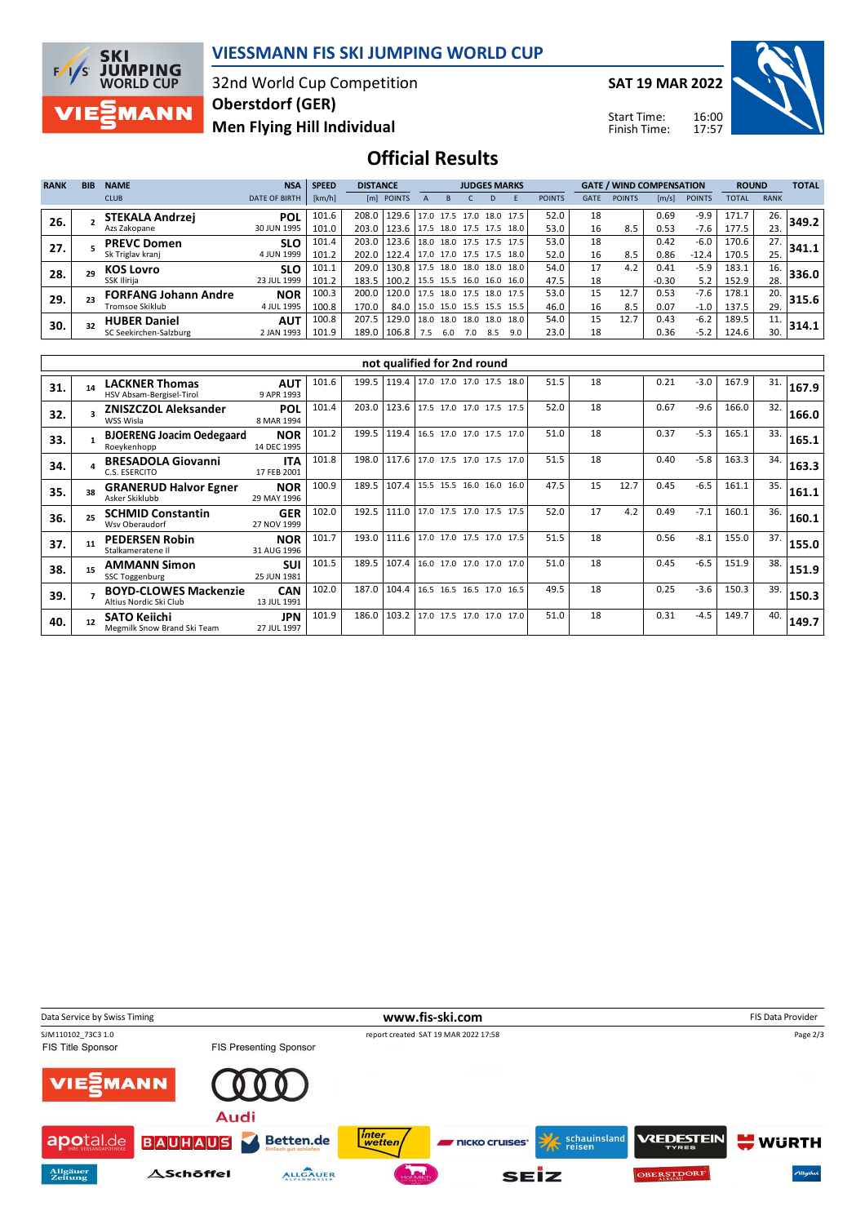

## **VIESSMANN FIS SKI JUMPING WORLD CUP**

32nd World Cup Competition **Men Flying Hill Individual Oberstdorf (GER)**

**SAT 19 MAR 2022**

Start Time: Finish Time:



**Official Results**

| <b>RANK</b> | <b>BIB</b> | <b>NAME</b>                 | <b>NSA</b>           | <b>SPEED</b> | <b>DISTANCE</b> |            |                       | <b>JUDGES MARKS</b> |           |      |                          |               |             | <b>GATE / WIND COMPENSATION</b> |         |               |              | <b>ROUND</b> |       |
|-------------|------------|-----------------------------|----------------------|--------------|-----------------|------------|-----------------------|---------------------|-----------|------|--------------------------|---------------|-------------|---------------------------------|---------|---------------|--------------|--------------|-------|
|             |            | <b>CLUB</b>                 | <b>DATE OF BIRTH</b> | [km/h]       |                 | [m] POINTS |                       |                     |           | D    |                          | <b>POINTS</b> | <b>GATE</b> | <b>POINTS</b>                   | [m/s]   | <b>POINTS</b> | <b>TOTAL</b> | <b>RANK</b>  |       |
| 26.         |            | <b>STEKALA Andrzej</b>      | <b>POL</b>           | 101.6        | 208.0           | 129.6      |                       |                     |           |      | 17.0 17.5 17.0 18.0 17.5 | 52.0          | 18          |                                 | 0.69    | $-9.9$        | 171.7        | 26.          | 349.2 |
|             |            | Azs Zakopane                | 30 JUN 1995          | 101.0        | 203.0           | 123.6      | 17.5 18.0 17.5 17.5   |                     |           |      | 18.0                     | 53.0          | 16          | 8.5                             | 0.53    | -7.6          | 177.5        | 23.          |       |
| 27.         |            | <b>PREVC Domen</b>          | <b>SLO</b>           | 101.4        | 203.0           | 123.6      | 18.0 18.0 17.5 17.5   |                     |           |      | 17.5                     | 53.0          | 18          |                                 | 0.42    | $-6.0$        | 170.6        | 27.          | 341.1 |
|             |            | Sk Triglav kranj            | 4 JUN 1999           | 101.2        | 202.0           | 122.4      | 117.0 17.0 17.5 17.5  |                     |           |      | 18.0                     | 52.0          | 16          | 8.5                             | 0.86    | $-12.4$       | 170.5        | 25.          |       |
| 28.         | 29         | <b>KOS Lovro</b>            | <b>SLO</b>           | 101.1        | 209.0           | 130.8      | $17.5$ 18.0 18.0 18.0 |                     |           |      | 18.0                     | 54.0          | 17          | 4.2                             | 0.41    | $-5.9$        | 183.1        | 16.          | 336.0 |
|             |            | SSK Ilirija                 | 23 JUL 1999          | 101.2        | 183.5           | 100.2      | 15.5 15.5 16.0 16.0   |                     |           |      | 16.0 l                   | 47.5          | 18          |                                 | $-0.30$ | 5.2           | 152.9        | 28.          |       |
| 29.         |            | <b>FORFANG Johann Andre</b> | <b>NOR</b>           | 100.3        | 200.0           | 120.0      | 17.5                  | 18.0                | 17.5      | 18.0 | 17.5                     | 53.0          | 15          | 12.7                            | 0.53    | $-7.6$        | 178.1        | 20.          | 315.6 |
|             |            | Tromsoe Skiklub             | 4 JUL 1995           | 100.8        | 170.0           | 84.0       | 15.0 15.0 15.5 15.5   |                     |           |      | 15.5                     | 46.0          | 16          | 8.5                             | 0.07    | $-1.0$        | 137.5        | 29.          |       |
| 30.         | 32         | <b>HUBER Daniel</b>         | <b>AUT</b>           | 100.8        | 207.5           | 129.0      | 18.0                  | 18.0                | 18.0 18.0 |      | 18.0                     | 54.0          | 15          | 12.7                            | 0.43    | $-6.2$        | 189.5        | 11.          | 314.1 |
|             |            | SC Seekirchen-Salzburg      | 2 JAN 1993           | 101.9        | 189.0           | 106.8      | 7.5                   | 6.0                 | 7.0       | 8.5  | 9.0                      | 23.0          | 18          |                                 | 0.36    | $-5.2$        | 124.6        | 30.          |       |

|     | not qualified for 2nd round |                                                        |                           |       |       |       |                          |      |      |    |      |      |        |       |     |       |
|-----|-----------------------------|--------------------------------------------------------|---------------------------|-------|-------|-------|--------------------------|------|------|----|------|------|--------|-------|-----|-------|
| 31. | 14                          | <b>LACKNER Thomas</b><br>HSV Absam-Bergisel-Tirol      | <b>AUT</b><br>9 APR 1993  | 101.6 | 199.5 | 119.4 | 17.0 17.0 17.0 17.5 18.0 |      | 51.5 | 18 |      | 0.21 | $-3.0$ | 167.9 | 31. | 167.9 |
| 32. |                             | <b>ZNISZCZOL Aleksander</b><br>WSS Wisla               | <b>POL</b><br>8 MAR 1994  | 101.4 | 203.0 | 123.6 | 17.5 17.0 17.0 17.5 17.5 |      | 52.0 | 18 |      | 0.67 | $-9.6$ | 166.0 | 32. | 166.0 |
| 33. |                             | <b>BJOERENG Joacim Oedegaard</b><br>Roevkenhopp        | <b>NOR</b><br>14 DEC 1995 | 101.2 | 199.5 | 119.4 | 16.5 17.0 17.0 17.5 17.0 |      | 51.0 | 18 |      | 0.37 | $-5.3$ | 165.1 | 33. | 165.1 |
| 34. |                             | <b>BRESADOLA Giovanni</b><br>C.S. ESERCITO             | <b>ITA</b><br>17 FEB 2001 | 101.8 | 198.0 | 117.6 | 17.0 17.5 17.0 17.5 17.0 |      | 51.5 | 18 |      | 0.40 | $-5.8$ | 163.3 | 34. | 163.3 |
| 35. | 38                          | <b>GRANERUD Halvor Egner</b><br>Asker Skiklubb         | <b>NOR</b><br>29 MAY 1996 | 100.9 | 189.5 | 107.4 | 15.5 15.5 16.0 16.0      | 16.0 | 47.5 | 15 | 12.7 | 0.45 | $-6.5$ | 161.1 | 35. | 161.1 |
| 36. | 25                          | <b>SCHMID Constantin</b><br>Wsv Oberaudorf             | <b>GER</b><br>27 NOV 1999 | 102.0 | 192.5 | 111.0 | 17.0 17.5 17.0 17.5 17.5 |      | 52.0 | 17 | 4.2  | 0.49 | $-7.1$ | 160.1 | 36. | 160.1 |
| 37. | 11                          | <b>PEDERSEN Robin</b><br>Stalkameratene II             | <b>NOR</b><br>31 AUG 1996 | 101.7 | 193.0 | 111.6 | 17.0 17.0 17.5 17.0 17.5 |      | 51.5 | 18 |      | 0.56 | $-8.1$ | 155.0 | 37. | 155.0 |
| 38. | 15                          | <b>AMMANN Simon</b><br>SSC Toggenburg                  | <b>SUI</b><br>25 JUN 1981 | 101.5 | 189.5 | 107.4 | 16.0 17.0 17.0 17.0 17.0 |      | 51.0 | 18 |      | 0.45 | $-6.5$ | 151.9 | 38. | 151.9 |
| 39. |                             | <b>BOYD-CLOWES Mackenzie</b><br>Altius Nordic Ski Club | <b>CAN</b><br>13 JUL 1991 | 102.0 | 187.0 | 104.4 | 16.5 16.5 16.5 17.0      | 16.5 | 49.5 | 18 |      | 0.25 | $-3.6$ | 150.3 | 39. | 150.3 |
| 40. | 12                          | <b>SATO Keiichi</b><br>Megmilk Snow Brand Ski Team     | <b>JPN</b><br>27 JUL 1997 | 101.9 | 186.0 | 103.2 | 17.0 17.5 17.0 17.0 17.0 |      | 51.0 | 18 |      | 0.31 | $-4.5$ | 149.7 | 40. | 149.7 |